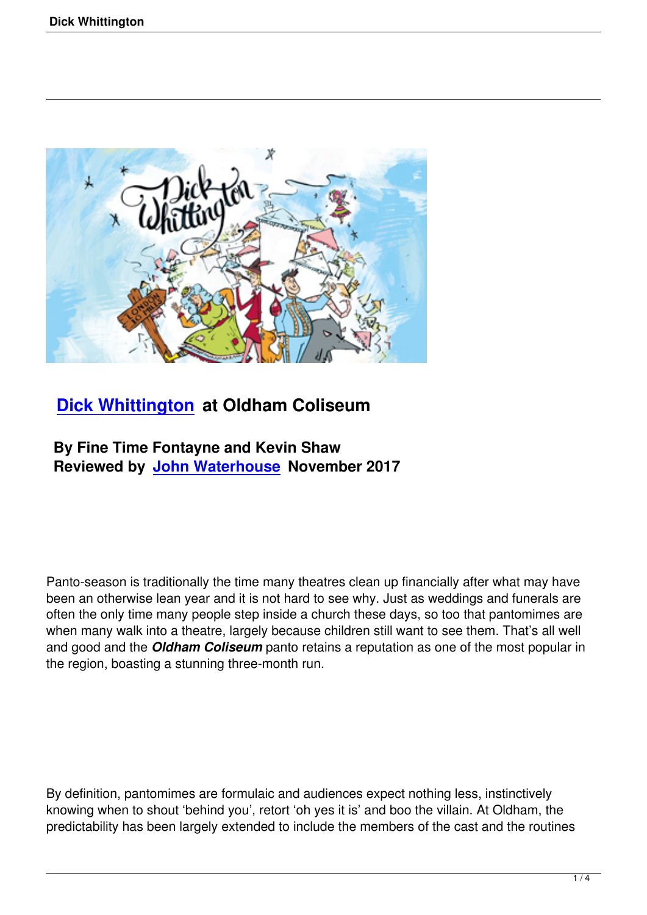

## **Dick Whittington at Oldham Coliseum**

## **By Fine Time Fontayne and Kevin Shaw [Reviewed by John W](dick-whittington.html)aterhouse November 2017**

Panto-season is traditionally the time many theatres clean up financially after what may have been an otherwise lean year and it is not hard to see why. Just as weddings and funerals are often the only time many people step inside a church these days, so too that pantomimes are when many walk into a theatre, largely because children still want to see them. That's all well and good and the *Oldham Coliseum* panto retains a reputation as one of the most popular in the region, boasting a stunning three-month run.

By definition, pantomimes are formulaic and audiences expect nothing less, instinctively knowing when to shout 'behind you', retort 'oh yes it is' and boo the villain. At Oldham, the predictability has been largely extended to include the members of the cast and the routines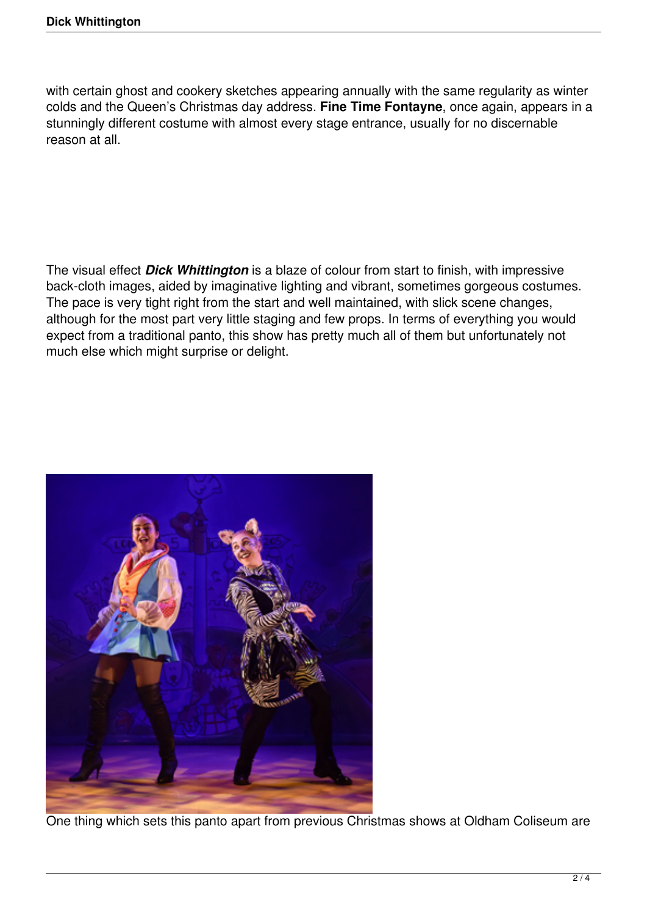with certain ghost and cookery sketches appearing annually with the same regularity as winter colds and the Queen's Christmas day address. **Fine Time Fontayne**, once again, appears in a stunningly different costume with almost every stage entrance, usually for no discernable reason at all.

The visual effect *Dick Whittington* is a blaze of colour from start to finish, with impressive back-cloth images, aided by imaginative lighting and vibrant, sometimes gorgeous costumes. The pace is very tight right from the start and well maintained, with slick scene changes, although for the most part very little staging and few props. In terms of everything you would expect from a traditional panto, this show has pretty much all of them but unfortunately not much else which might surprise or delight.



One thing which sets this panto apart from previous Christmas shows at Oldham Coliseum are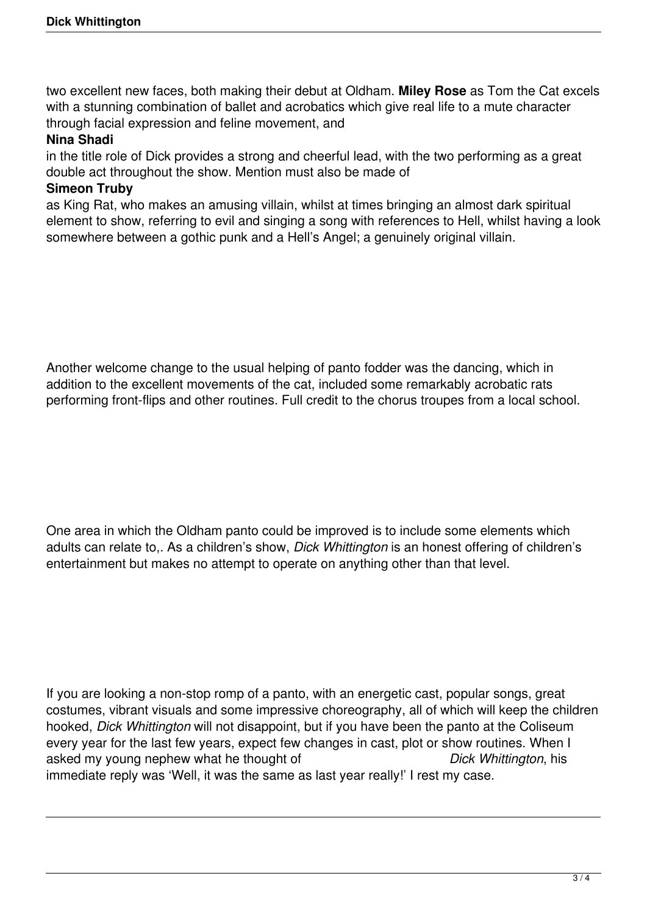two excellent new faces, both making their debut at Oldham. **Miley Rose** as Tom the Cat excels with a stunning combination of ballet and acrobatics which give real life to a mute character through facial expression and feline movement, and

## **Nina Shadi**

in the title role of Dick provides a strong and cheerful lead, with the two performing as a great double act throughout the show. Mention must also be made of

## **Simeon Truby**

as King Rat, who makes an amusing villain, whilst at times bringing an almost dark spiritual element to show, referring to evil and singing a song with references to Hell, whilst having a look somewhere between a gothic punk and a Hell's Angel; a genuinely original villain.

Another welcome change to the usual helping of panto fodder was the dancing, which in addition to the excellent movements of the cat, included some remarkably acrobatic rats performing front-flips and other routines. Full credit to the chorus troupes from a local school.

One area in which the Oldham panto could be improved is to include some elements which adults can relate to,. As a children's show, *Dick Whittington* is an honest offering of children's entertainment but makes no attempt to operate on anything other than that level.

If you are looking a non-stop romp of a panto, with an energetic cast, popular songs, great costumes, vibrant visuals and some impressive choreography, all of which will keep the children hooked, *Dick Whittington* will not disappoint, but if you have been the panto at the Coliseum every year for the last few years, expect few changes in cast, plot or show routines. When I asked my young nephew what he thought of *Dick Whittington*, his immediate reply was 'Well, it was the same as last year really!' I rest my case.